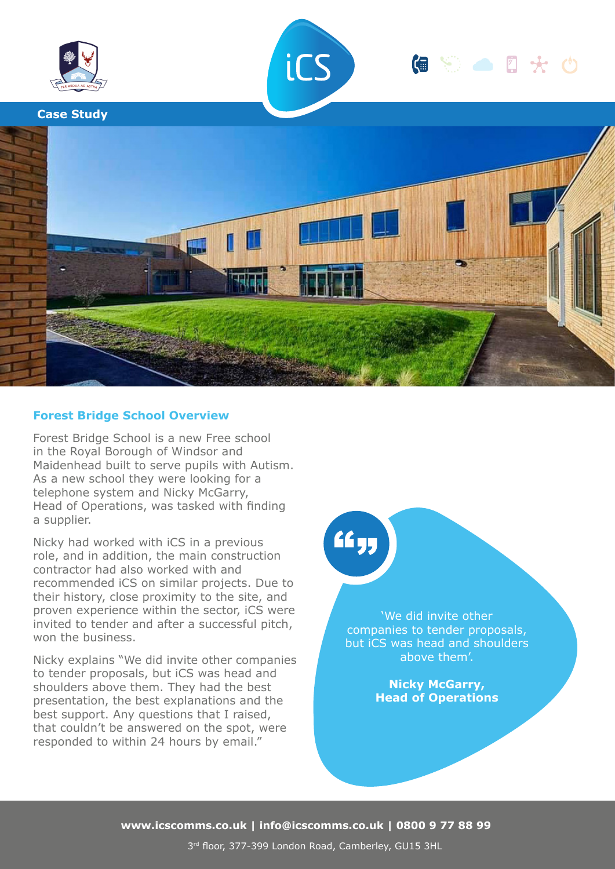

# **Forest Bridge School Overview**

Forest Bridge School is a new Free school in the Royal Borough of Windsor and Maidenhead built to serve pupils with Autism. As a new school they were looking for a telephone system and Nicky McGarry, Head of Operations, was tasked with finding a supplier.

Nicky had worked with iCS in a previous role, and in addition, the main construction contractor had also worked with and recommended iCS on similar projects. Due to their history, close proximity to the site, and proven experience within the sector, iCS were invited to tender and after a successful pitch, won the business.

Nicky explains "We did invite other companies to tender proposals, but iCS was head and shoulders above them. They had the best presentation, the best explanations and the best support. Any questions that I raised, that couldn't be answered on the spot, were responded to within 24 hours by email."

# ££ yr

'We did invite other companies to tender proposals, but iCS was head and shoulders above them'.

> **Nicky McGarry, Head of Operations**

**www.icscomms.co.uk | info@icscomms.co.uk | 0800 9 77 88 99**